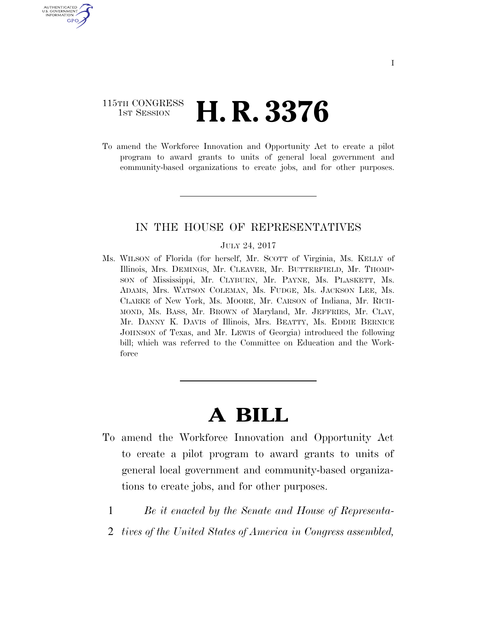### 115TH CONGRESS **1ST SESSION <b>H. R. 3376**

AUTHENTICATED U.S. GOVERNMENT GPO

> To amend the Workforce Innovation and Opportunity Act to create a pilot program to award grants to units of general local government and community-based organizations to create jobs, and for other purposes.

### IN THE HOUSE OF REPRESENTATIVES

#### JULY 24, 2017

Ms. WILSON of Florida (for herself, Mr. SCOTT of Virginia, Ms. KELLY of Illinois, Mrs. DEMINGS, Mr. CLEAVER, Mr. BUTTERFIELD, Mr. THOMP-SON of Mississippi, Mr. CLYBURN, Mr. PAYNE, Ms. PLASKETT, Ms. ADAMS, Mrs. WATSON COLEMAN, Ms. FUDGE, Ms. JACKSON LEE, Ms. CLARKE of New York, Ms. MOORE, Mr. CARSON of Indiana, Mr. RICH-MOND, Ms. BASS, Mr. BROWN of Maryland, Mr. JEFFRIES, Mr. CLAY, Mr. DANNY K. DAVIS of Illinois, Mrs. BEATTY, Ms. EDDIE BERNICE JOHNSON of Texas, and Mr. LEWIS of Georgia) introduced the following bill; which was referred to the Committee on Education and the Workforce

# **A BILL**

- To amend the Workforce Innovation and Opportunity Act to create a pilot program to award grants to units of general local government and community-based organizations to create jobs, and for other purposes.
	- 1 *Be it enacted by the Senate and House of Representa-*
	- 2 *tives of the United States of America in Congress assembled,*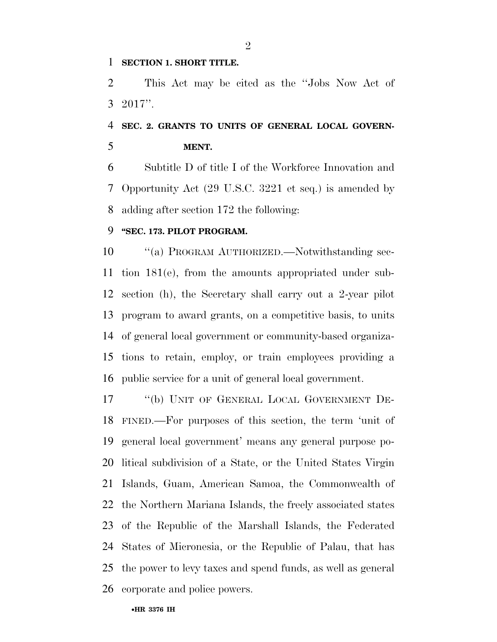### **SECTION 1. SHORT TITLE.**

 This Act may be cited as the ''Jobs Now Act of 2017''.

## **SEC. 2. GRANTS TO UNITS OF GENERAL LOCAL GOVERN-MENT.**

 Subtitle D of title I of the Workforce Innovation and Opportunity Act (29 U.S.C. 3221 et seq.) is amended by adding after section 172 the following:

### **''SEC. 173. PILOT PROGRAM.**

 ''(a) PROGRAM AUTHORIZED.—Notwithstanding sec- tion 181(e), from the amounts appropriated under sub- section (h), the Secretary shall carry out a 2-year pilot program to award grants, on a competitive basis, to units of general local government or community-based organiza- tions to retain, employ, or train employees providing a public service for a unit of general local government.

 ''(b) UNIT OF GENERAL LOCAL GOVERNMENT DE- FINED.—For purposes of this section, the term 'unit of general local government' means any general purpose po- litical subdivision of a State, or the United States Virgin Islands, Guam, American Samoa, the Commonwealth of the Northern Mariana Islands, the freely associated states of the Republic of the Marshall Islands, the Federated States of Micronesia, or the Republic of Palau, that has the power to levy taxes and spend funds, as well as general corporate and police powers.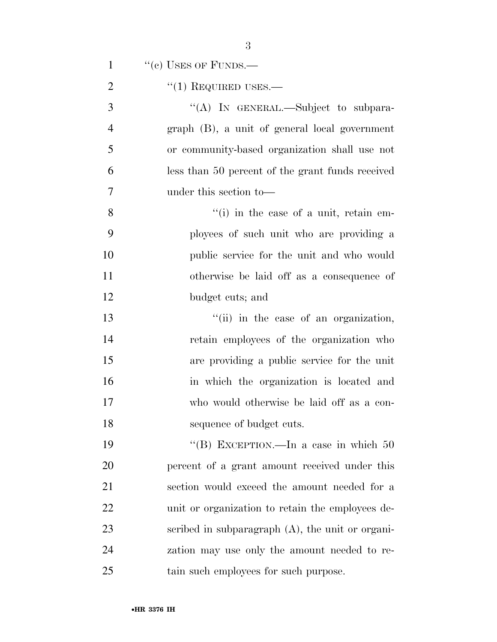| $\mathbf{1}$   | $``(e)$ USES OF FUNDS.—                             |
|----------------|-----------------------------------------------------|
| $\overline{2}$ | $``(1)$ REQUIRED USES.—                             |
| 3              | "(A) IN GENERAL.—Subject to subpara-                |
| $\overline{4}$ | graph (B), a unit of general local government       |
| 5              | or community-based organization shall use not       |
| 6              | less than 50 percent of the grant funds received    |
| 7              | under this section to-                              |
| 8              | $f'(i)$ in the case of a unit, retain em-           |
| 9              | ployees of such unit who are providing a            |
| 10             | public service for the unit and who would           |
| 11             | otherwise be laid off as a consequence of           |
| 12             | budget cuts; and                                    |
| 13             | "(ii) in the case of an organization,               |
| 14             | retain employees of the organization who            |
| 15             | are providing a public service for the unit         |
| 16             | in which the organization is located and            |
| 17             | who would otherwise be laid off as a con-           |
| 18             | sequence of budget cuts.                            |
| 19             | "(B) EXCEPTION.—In a case in which $50$             |
| 20             | percent of a grant amount received under this       |
| 21             | section would exceed the amount needed for a        |
| 22             | unit or organization to retain the employees de-    |
| 23             | scribed in subparagraph $(A)$ , the unit or organi- |
| 24             | zation may use only the amount needed to re-        |
| 25             | tain such employees for such purpose.               |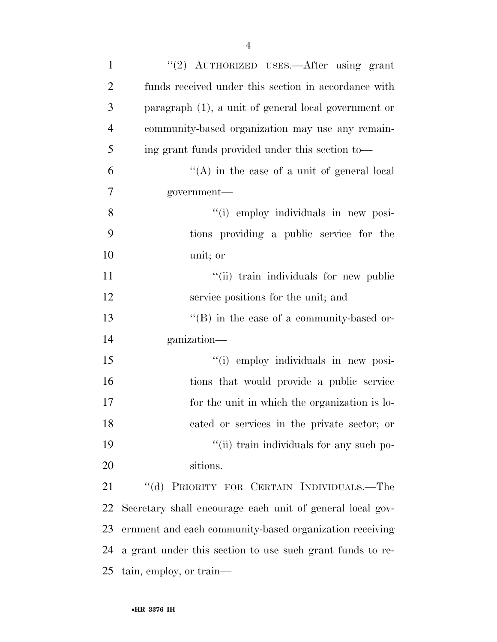| $\mathbf{1}$   | "(2) AUTHORIZED USES.—After using grant                   |
|----------------|-----------------------------------------------------------|
| $\overline{2}$ | funds received under this section in accordance with      |
| 3              | paragraph $(1)$ , a unit of general local government or   |
| $\overline{4}$ | community-based organization may use any remain-          |
| 5              | ing grant funds provided under this section to-           |
| 6              | "(A) in the case of a unit of general local               |
| 7              | government—                                               |
| 8              | "(i) employ individuals in new posi-                      |
| 9              | tions providing a public service for the                  |
| 10             | unit; or                                                  |
| 11             | "(ii) train individuals for new public                    |
| 12             | service positions for the unit; and                       |
| 13             | $\lq\lq (B)$ in the case of a community-based or-         |
| 14             | ganization—                                               |
| 15             | "(i) employ individuals in new posi-                      |
| 16             | tions that would provide a public service                 |
| 17             | for the unit in which the organization is lo-             |
| 18             | cated or services in the private sector; or               |
| 19             | "(ii) train individuals for any such po-                  |
| 20             | sitions.                                                  |
| 21             | "(d) PRIORITY FOR CERTAIN INDIVIDUALS.—The                |
| 22             | Secretary shall encourage each unit of general local gov- |
| 23             | ernment and each community-based organization receiving   |
| 24             | a grant under this section to use such grant funds to re- |
| 25             | tain, employ, or train—                                   |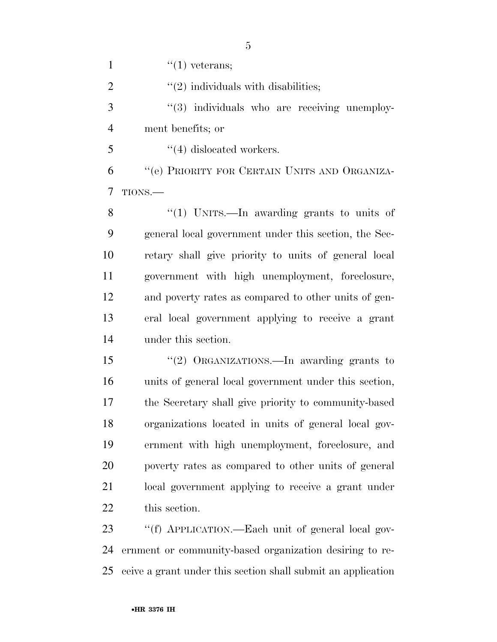| $\mathbf{1}$   | $\lq(1)$ veterans;                                      |
|----------------|---------------------------------------------------------|
| $\overline{2}$ | $\lq(2)$ individuals with disabilities;                 |
| 3              | "(3) individuals who are receiving unemploy-            |
| $\overline{4}$ | ment benefits; or                                       |
| 5              | $\lq(4)$ dislocated workers.                            |
| 6              | "(e) PRIORITY FOR CERTAIN UNITS AND ORGANIZA-           |
| 7              | TIONS.                                                  |
| 8              | "(1) UNITS.—In awarding grants to units of              |
| 9              | general local government under this section, the Sec-   |
| 10             | retary shall give priority to units of general local    |
| 11             | government with high unemployment, foreclosure,         |
| 12             | and poverty rates as compared to other units of gen-    |
| 13             | eral local government applying to receive a grant       |
| 14             | under this section.                                     |
| 15             | "(2) ORGANIZATIONS.—In awarding grants to               |
| 16             | units of general local government under this section,   |
| 17             | the Secretary shall give priority to community-based    |
| 18             | organizations located in units of general local gov-    |
| 19             | ernment with high unemployment, foreclosure, and        |
| 20             | poverty rates as compared to other units of general     |
| 21             | local government applying to receive a grant under      |
| 22             | this section.                                           |
| 23             | "(f) APPLICATION.—Each unit of general local gov-       |
| 24             | ernment or community-based organization desiring to re- |

ceive a grant under this section shall submit an application